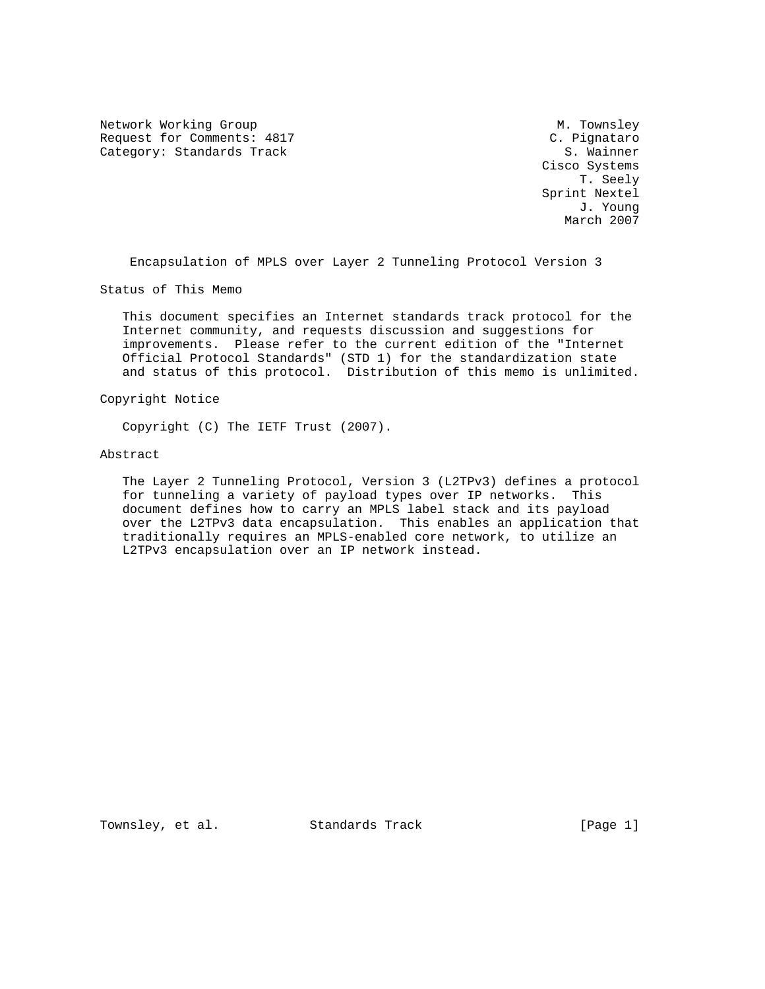Network Working Group Metwork Musley Request for Comments: 4817 (C. Pignataro C. Pignataro C. Pignataro C. Pignataro C. Pignataro C. Pignataro C. Pignataro C. Pignataro C. Pignataro C. Pignataro C. Pignataro C. Pignataro C. Pignataro C. Pignataro C. Pignataro Category: Standards Track

 Cisco Systems T. Seely Sprint Nextel J. Young March 2007

Encapsulation of MPLS over Layer 2 Tunneling Protocol Version 3

Status of This Memo

 This document specifies an Internet standards track protocol for the Internet community, and requests discussion and suggestions for improvements. Please refer to the current edition of the "Internet Official Protocol Standards" (STD 1) for the standardization state and status of this protocol. Distribution of this memo is unlimited.

Copyright Notice

Copyright (C) The IETF Trust (2007).

### Abstract

 The Layer 2 Tunneling Protocol, Version 3 (L2TPv3) defines a protocol for tunneling a variety of payload types over IP networks. This document defines how to carry an MPLS label stack and its payload over the L2TPv3 data encapsulation. This enables an application that traditionally requires an MPLS-enabled core network, to utilize an L2TPv3 encapsulation over an IP network instead.

Townsley, et al. Standards Track [Page 1]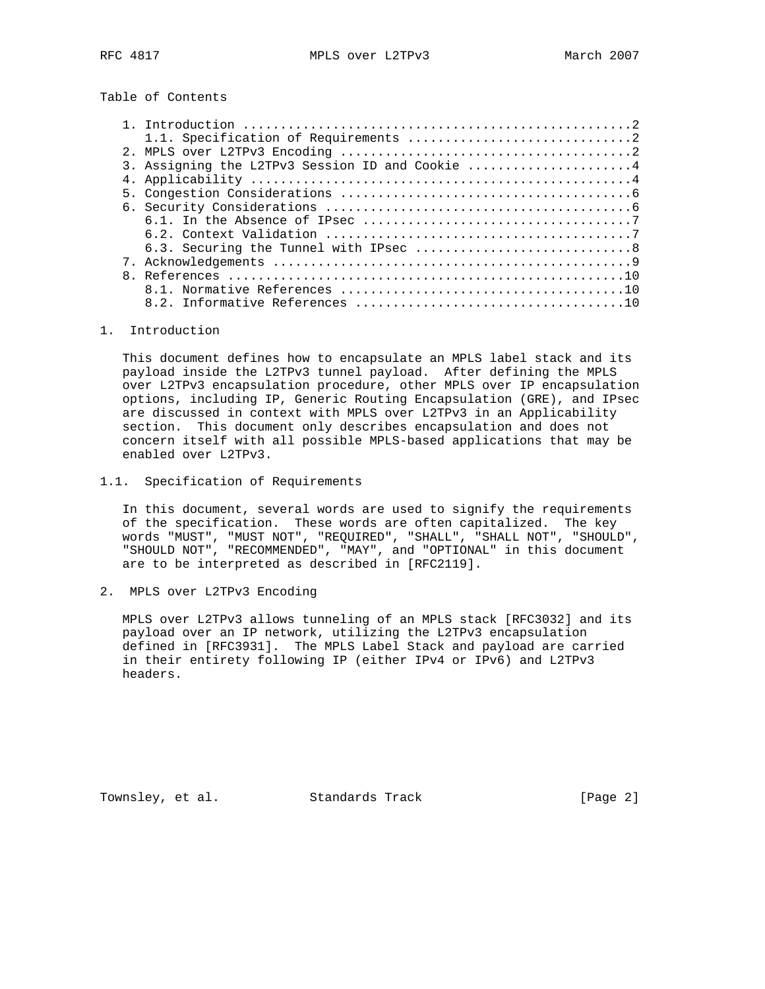Table of Contents

| 3. Assigning the L2TPv3 Session ID and Cookie 4 |
|-------------------------------------------------|
|                                                 |
|                                                 |
|                                                 |
|                                                 |
|                                                 |
|                                                 |
|                                                 |
|                                                 |
|                                                 |
|                                                 |
|                                                 |

## 1. Introduction

 This document defines how to encapsulate an MPLS label stack and its payload inside the L2TPv3 tunnel payload. After defining the MPLS over L2TPv3 encapsulation procedure, other MPLS over IP encapsulation options, including IP, Generic Routing Encapsulation (GRE), and IPsec are discussed in context with MPLS over L2TPv3 in an Applicability section. This document only describes encapsulation and does not concern itself with all possible MPLS-based applications that may be enabled over L2TPv3.

1.1. Specification of Requirements

 In this document, several words are used to signify the requirements of the specification. These words are often capitalized. The key words "MUST", "MUST NOT", "REQUIRED", "SHALL", "SHALL NOT", "SHOULD", "SHOULD NOT", "RECOMMENDED", "MAY", and "OPTIONAL" in this document are to be interpreted as described in [RFC2119].

2. MPLS over L2TPv3 Encoding

 MPLS over L2TPv3 allows tunneling of an MPLS stack [RFC3032] and its payload over an IP network, utilizing the L2TPv3 encapsulation defined in [RFC3931]. The MPLS Label Stack and payload are carried in their entirety following IP (either IPv4 or IPv6) and L2TPv3 headers.

Townsley, et al. Standards Track [Page 2]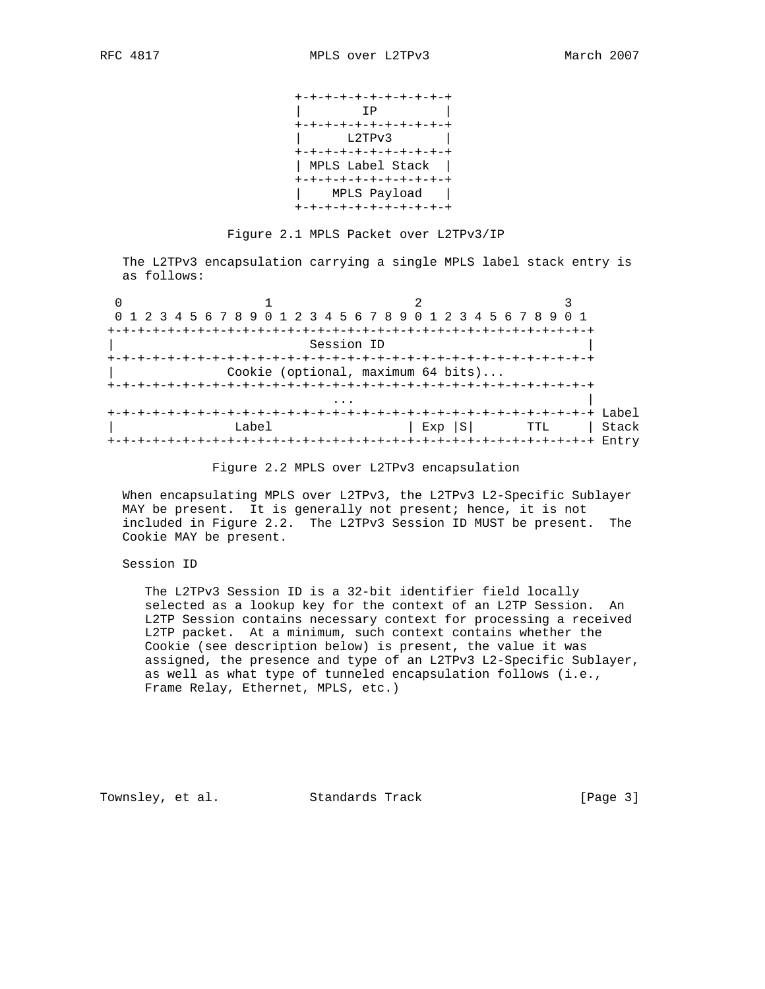| +-+-+-+-+-+-+-+-+-+-+ |  |  |
|-----------------------|--|--|
| IP                    |  |  |
| +-+-+-+-+-+-+-+-+-+-+ |  |  |
| L2TPv3                |  |  |
| +-+-+-+-+-+-+-+-+-+-+ |  |  |
| MPLS Label Stack      |  |  |
| +-+-+-+-+-+-+-+-+-+-+ |  |  |
| MPLS Payload          |  |  |
|                       |  |  |

Figure 2.1 MPLS Packet over L2TPv3/IP

 The L2TPv3 encapsulation carrying a single MPLS label stack entry is as follows:

| 0 1 2 3 4 5 6 7 8 9 0 1 2 3 4 5 6 7 8 9 0 1 2 3 4 5 6 7 8 9 0 1 |                                    |                                           |       |
|-----------------------------------------------------------------|------------------------------------|-------------------------------------------|-------|
|                                                                 |                                    |                                           |       |
|                                                                 | Session ID                         |                                           |       |
|                                                                 |                                    |                                           |       |
|                                                                 | Cookie (optional, maximum 64 bits) |                                           |       |
|                                                                 |                                    |                                           |       |
|                                                                 |                                    |                                           |       |
|                                                                 |                                    |                                           |       |
| Label                                                           |                                    | $Exp  S $ TTL                             | Stack |
|                                                                 |                                    | +-+-+-+-+-+-+-+-+-+-+-+-+-+-+-+-+-+ Entry |       |

### Figure 2.2 MPLS over L2TPv3 encapsulation

When encapsulating MPLS over L2TPv3, the L2TPv3 L2-Specific Sublayer MAY be present. It is generally not present; hence, it is not included in Figure 2.2. The L2TPv3 Session ID MUST be present. The Cookie MAY be present.

# Session ID

 The L2TPv3 Session ID is a 32-bit identifier field locally selected as a lookup key for the context of an L2TP Session. An L2TP Session contains necessary context for processing a received L2TP packet. At a minimum, such context contains whether the Cookie (see description below) is present, the value it was assigned, the presence and type of an L2TPv3 L2-Specific Sublayer, as well as what type of tunneled encapsulation follows (i.e., Frame Relay, Ethernet, MPLS, etc.)

Townsley, et al. Standards Track [Page 3]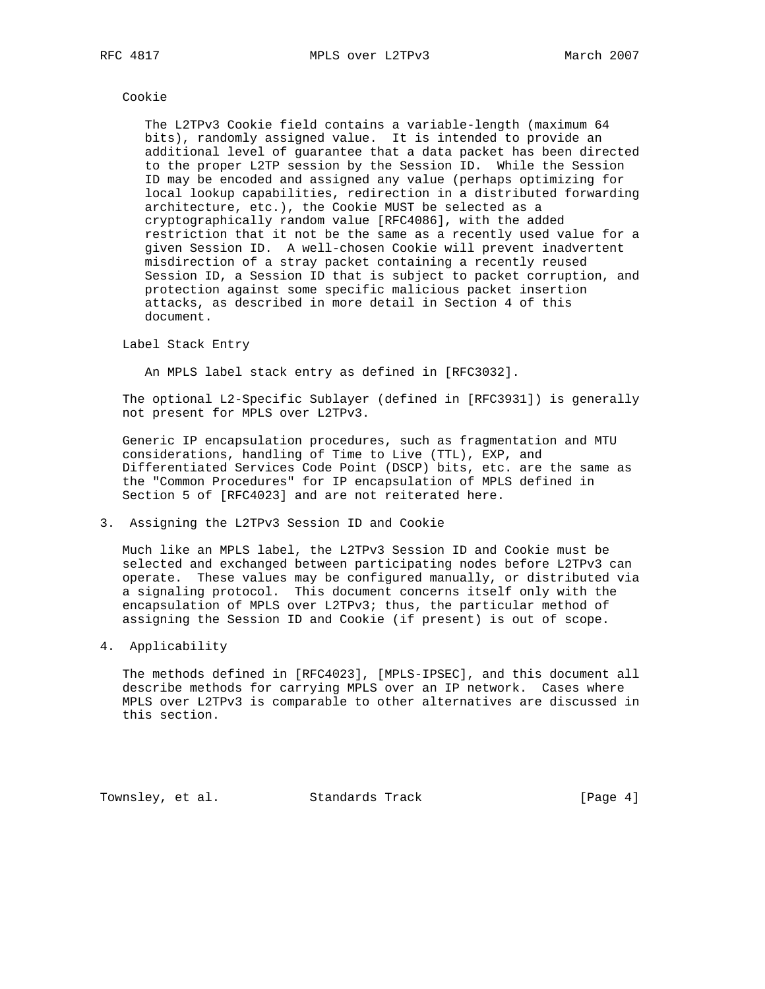#### Cookie

 The L2TPv3 Cookie field contains a variable-length (maximum 64 bits), randomly assigned value. It is intended to provide an additional level of guarantee that a data packet has been directed to the proper L2TP session by the Session ID. While the Session ID may be encoded and assigned any value (perhaps optimizing for local lookup capabilities, redirection in a distributed forwarding architecture, etc.), the Cookie MUST be selected as a cryptographically random value [RFC4086], with the added restriction that it not be the same as a recently used value for a given Session ID. A well-chosen Cookie will prevent inadvertent misdirection of a stray packet containing a recently reused Session ID, a Session ID that is subject to packet corruption, and protection against some specific malicious packet insertion attacks, as described in more detail in Section 4 of this document.

Label Stack Entry

An MPLS label stack entry as defined in [RFC3032].

 The optional L2-Specific Sublayer (defined in [RFC3931]) is generally not present for MPLS over L2TPv3.

 Generic IP encapsulation procedures, such as fragmentation and MTU considerations, handling of Time to Live (TTL), EXP, and Differentiated Services Code Point (DSCP) bits, etc. are the same as the "Common Procedures" for IP encapsulation of MPLS defined in Section 5 of [RFC4023] and are not reiterated here.

3. Assigning the L2TPv3 Session ID and Cookie

 Much like an MPLS label, the L2TPv3 Session ID and Cookie must be selected and exchanged between participating nodes before L2TPv3 can operate. These values may be configured manually, or distributed via a signaling protocol. This document concerns itself only with the encapsulation of MPLS over L2TPv3; thus, the particular method of assigning the Session ID and Cookie (if present) is out of scope.

4. Applicability

 The methods defined in [RFC4023], [MPLS-IPSEC], and this document all describe methods for carrying MPLS over an IP network. Cases where MPLS over L2TPv3 is comparable to other alternatives are discussed in this section.

Townsley, et al. Standards Track [Page 4]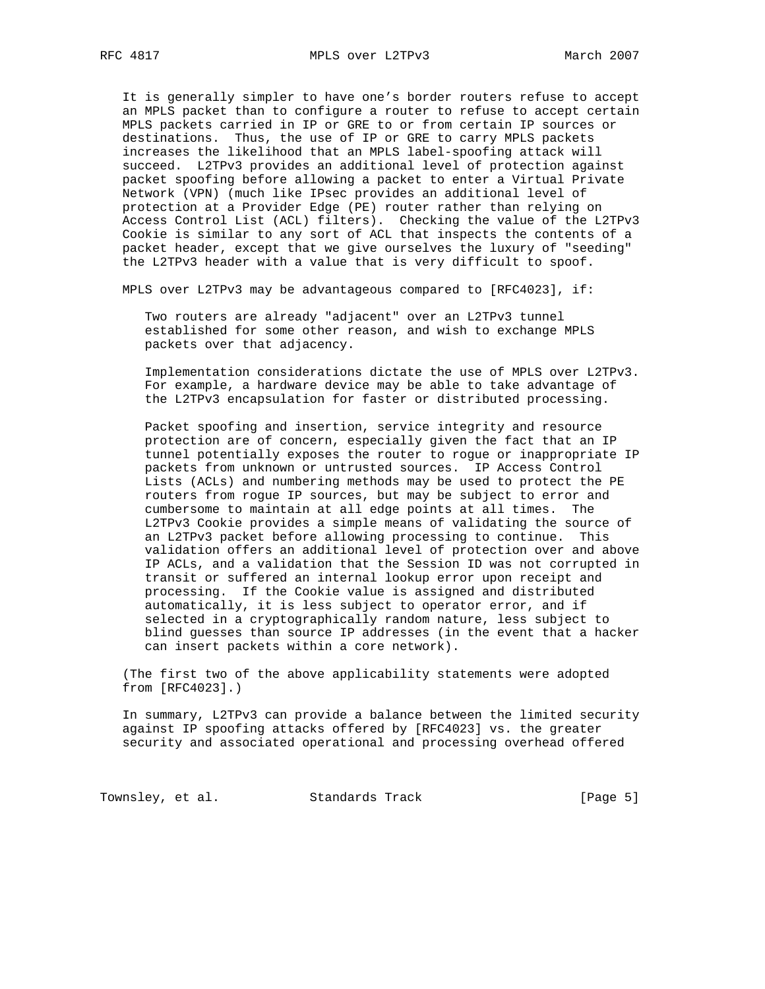It is generally simpler to have one's border routers refuse to accept an MPLS packet than to configure a router to refuse to accept certain MPLS packets carried in IP or GRE to or from certain IP sources or destinations. Thus, the use of IP or GRE to carry MPLS packets increases the likelihood that an MPLS label-spoofing attack will succeed. L2TPv3 provides an additional level of protection against packet spoofing before allowing a packet to enter a Virtual Private Network (VPN) (much like IPsec provides an additional level of protection at a Provider Edge (PE) router rather than relying on Access Control List (ACL) filters). Checking the value of the L2TPv3 Cookie is similar to any sort of ACL that inspects the contents of a packet header, except that we give ourselves the luxury of "seeding" the L2TPv3 header with a value that is very difficult to spoof.

MPLS over L2TPv3 may be advantageous compared to [RFC4023], if:

 Two routers are already "adjacent" over an L2TPv3 tunnel established for some other reason, and wish to exchange MPLS packets over that adjacency.

 Implementation considerations dictate the use of MPLS over L2TPv3. For example, a hardware device may be able to take advantage of the L2TPv3 encapsulation for faster or distributed processing.

 Packet spoofing and insertion, service integrity and resource protection are of concern, especially given the fact that an IP tunnel potentially exposes the router to rogue or inappropriate IP packets from unknown or untrusted sources. IP Access Control Lists (ACLs) and numbering methods may be used to protect the PE routers from rogue IP sources, but may be subject to error and cumbersome to maintain at all edge points at all times. The L2TPv3 Cookie provides a simple means of validating the source of an L2TPv3 packet before allowing processing to continue. This validation offers an additional level of protection over and above IP ACLs, and a validation that the Session ID was not corrupted in transit or suffered an internal lookup error upon receipt and processing. If the Cookie value is assigned and distributed automatically, it is less subject to operator error, and if selected in a cryptographically random nature, less subject to blind guesses than source IP addresses (in the event that a hacker can insert packets within a core network).

 (The first two of the above applicability statements were adopted from [RFC4023].)

 In summary, L2TPv3 can provide a balance between the limited security against IP spoofing attacks offered by [RFC4023] vs. the greater security and associated operational and processing overhead offered

Townsley, et al. Standards Track [Page 5]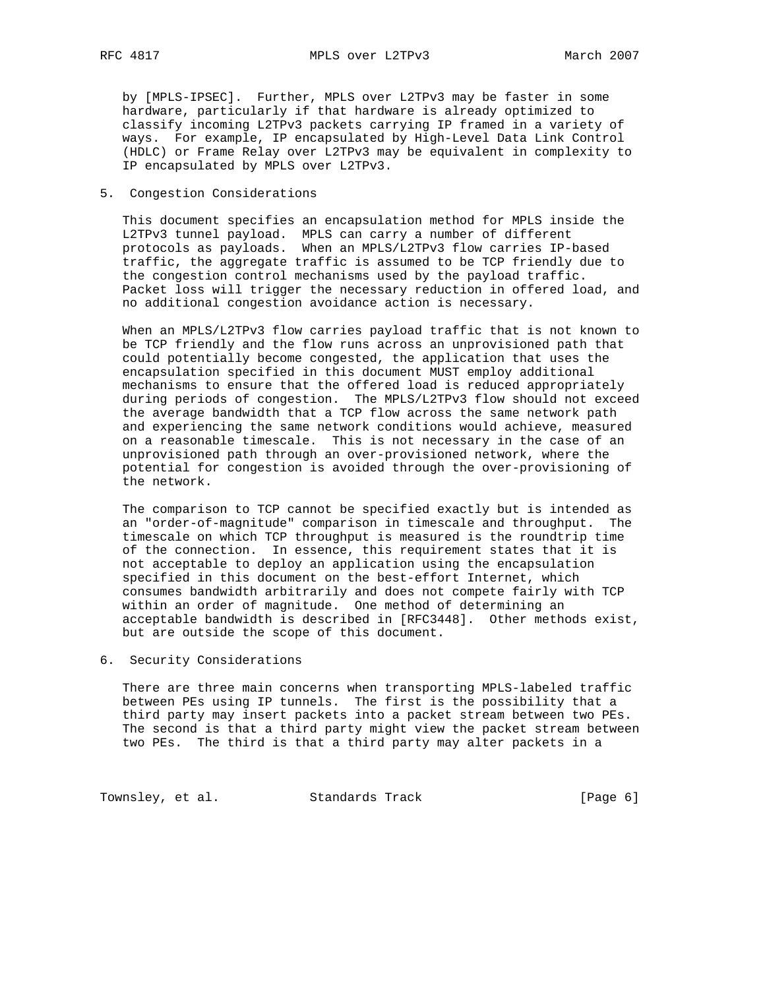by [MPLS-IPSEC]. Further, MPLS over L2TPv3 may be faster in some hardware, particularly if that hardware is already optimized to classify incoming L2TPv3 packets carrying IP framed in a variety of ways. For example, IP encapsulated by High-Level Data Link Control (HDLC) or Frame Relay over L2TPv3 may be equivalent in complexity to IP encapsulated by MPLS over L2TPv3.

## 5. Congestion Considerations

 This document specifies an encapsulation method for MPLS inside the L2TPv3 tunnel payload. MPLS can carry a number of different protocols as payloads. When an MPLS/L2TPv3 flow carries IP-based traffic, the aggregate traffic is assumed to be TCP friendly due to the congestion control mechanisms used by the payload traffic. Packet loss will trigger the necessary reduction in offered load, and no additional congestion avoidance action is necessary.

 When an MPLS/L2TPv3 flow carries payload traffic that is not known to be TCP friendly and the flow runs across an unprovisioned path that could potentially become congested, the application that uses the encapsulation specified in this document MUST employ additional mechanisms to ensure that the offered load is reduced appropriately during periods of congestion. The MPLS/L2TPv3 flow should not exceed the average bandwidth that a TCP flow across the same network path and experiencing the same network conditions would achieve, measured on a reasonable timescale. This is not necessary in the case of an unprovisioned path through an over-provisioned network, where the potential for congestion is avoided through the over-provisioning of the network.

 The comparison to TCP cannot be specified exactly but is intended as an "order-of-magnitude" comparison in timescale and throughput. The timescale on which TCP throughput is measured is the roundtrip time of the connection. In essence, this requirement states that it is not acceptable to deploy an application using the encapsulation specified in this document on the best-effort Internet, which consumes bandwidth arbitrarily and does not compete fairly with TCP within an order of magnitude. One method of determining an acceptable bandwidth is described in [RFC3448]. Other methods exist, but are outside the scope of this document.

## 6. Security Considerations

 There are three main concerns when transporting MPLS-labeled traffic between PEs using IP tunnels. The first is the possibility that a third party may insert packets into a packet stream between two PEs. The second is that a third party might view the packet stream between two PEs. The third is that a third party may alter packets in a

Townsley, et al. Standards Track [Page 6]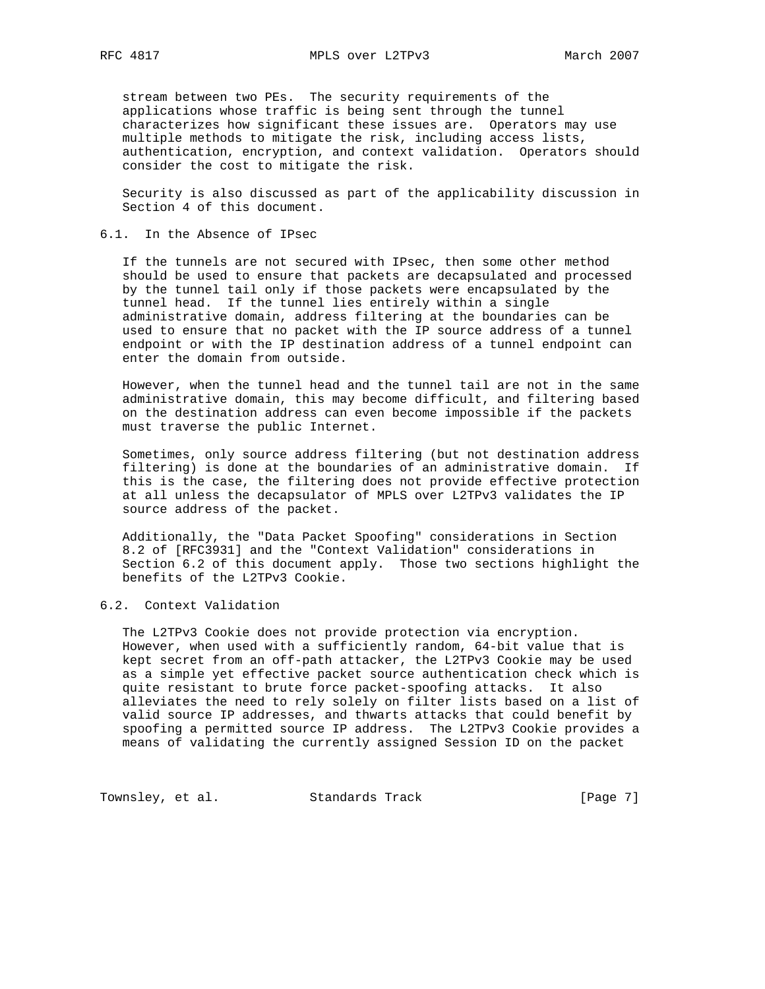stream between two PEs. The security requirements of the applications whose traffic is being sent through the tunnel characterizes how significant these issues are. Operators may use multiple methods to mitigate the risk, including access lists, authentication, encryption, and context validation. Operators should consider the cost to mitigate the risk.

 Security is also discussed as part of the applicability discussion in Section 4 of this document.

# 6.1. In the Absence of IPsec

 If the tunnels are not secured with IPsec, then some other method should be used to ensure that packets are decapsulated and processed by the tunnel tail only if those packets were encapsulated by the tunnel head. If the tunnel lies entirely within a single administrative domain, address filtering at the boundaries can be used to ensure that no packet with the IP source address of a tunnel endpoint or with the IP destination address of a tunnel endpoint can enter the domain from outside.

 However, when the tunnel head and the tunnel tail are not in the same administrative domain, this may become difficult, and filtering based on the destination address can even become impossible if the packets must traverse the public Internet.

 Sometimes, only source address filtering (but not destination address filtering) is done at the boundaries of an administrative domain. If this is the case, the filtering does not provide effective protection at all unless the decapsulator of MPLS over L2TPv3 validates the IP source address of the packet.

 Additionally, the "Data Packet Spoofing" considerations in Section 8.2 of [RFC3931] and the "Context Validation" considerations in Section 6.2 of this document apply. Those two sections highlight the benefits of the L2TPv3 Cookie.

# 6.2. Context Validation

 The L2TPv3 Cookie does not provide protection via encryption. However, when used with a sufficiently random, 64-bit value that is kept secret from an off-path attacker, the L2TPv3 Cookie may be used as a simple yet effective packet source authentication check which is quite resistant to brute force packet-spoofing attacks. It also alleviates the need to rely solely on filter lists based on a list of valid source IP addresses, and thwarts attacks that could benefit by spoofing a permitted source IP address. The L2TPv3 Cookie provides a means of validating the currently assigned Session ID on the packet

Townsley, et al. Standards Track [Page 7]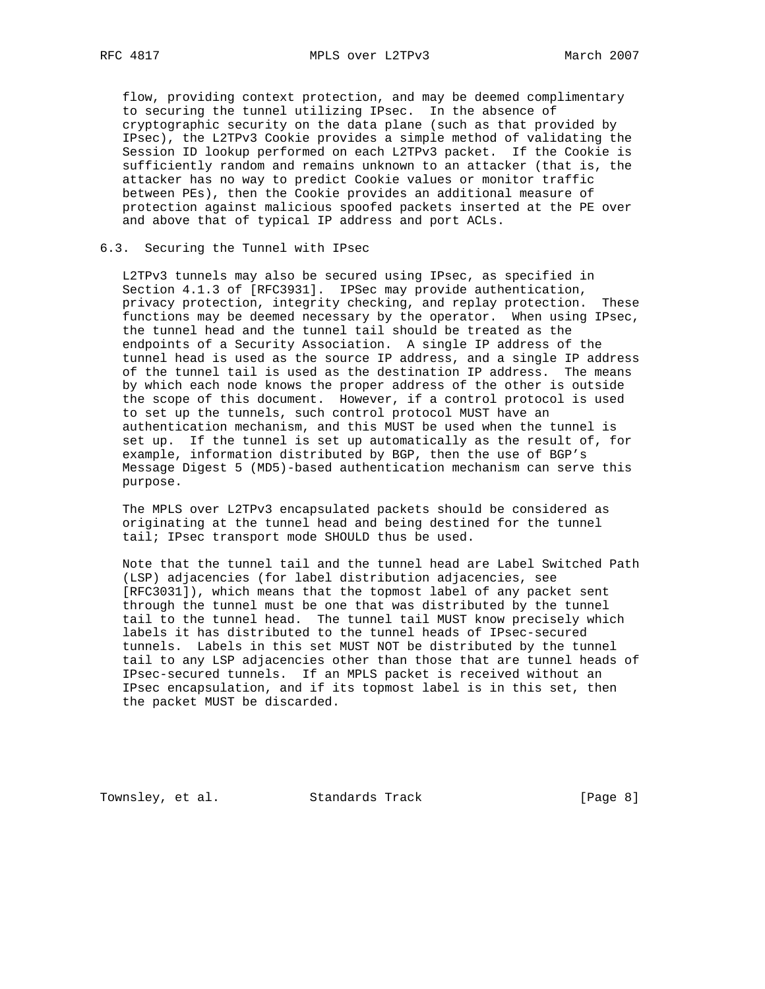flow, providing context protection, and may be deemed complimentary to securing the tunnel utilizing IPsec. In the absence of cryptographic security on the data plane (such as that provided by IPsec), the L2TPv3 Cookie provides a simple method of validating the Session ID lookup performed on each L2TPv3 packet. If the Cookie is sufficiently random and remains unknown to an attacker (that is, the attacker has no way to predict Cookie values or monitor traffic between PEs), then the Cookie provides an additional measure of protection against malicious spoofed packets inserted at the PE over and above that of typical IP address and port ACLs.

### 6.3. Securing the Tunnel with IPsec

 L2TPv3 tunnels may also be secured using IPsec, as specified in Section 4.1.3 of [RFC3931]. IPSec may provide authentication, privacy protection, integrity checking, and replay protection. These functions may be deemed necessary by the operator. When using IPsec, the tunnel head and the tunnel tail should be treated as the endpoints of a Security Association. A single IP address of the tunnel head is used as the source IP address, and a single IP address of the tunnel tail is used as the destination IP address. The means by which each node knows the proper address of the other is outside the scope of this document. However, if a control protocol is used to set up the tunnels, such control protocol MUST have an authentication mechanism, and this MUST be used when the tunnel is set up. If the tunnel is set up automatically as the result of, for example, information distributed by BGP, then the use of BGP's Message Digest 5 (MD5)-based authentication mechanism can serve this purpose.

 The MPLS over L2TPv3 encapsulated packets should be considered as originating at the tunnel head and being destined for the tunnel tail; IPsec transport mode SHOULD thus be used.

 Note that the tunnel tail and the tunnel head are Label Switched Path (LSP) adjacencies (for label distribution adjacencies, see [RFC3031]), which means that the topmost label of any packet sent through the tunnel must be one that was distributed by the tunnel tail to the tunnel head. The tunnel tail MUST know precisely which labels it has distributed to the tunnel heads of IPsec-secured tunnels. Labels in this set MUST NOT be distributed by the tunnel tail to any LSP adjacencies other than those that are tunnel heads of IPsec-secured tunnels. If an MPLS packet is received without an IPsec encapsulation, and if its topmost label is in this set, then the packet MUST be discarded.

Townsley, et al. Standards Track [Page 8]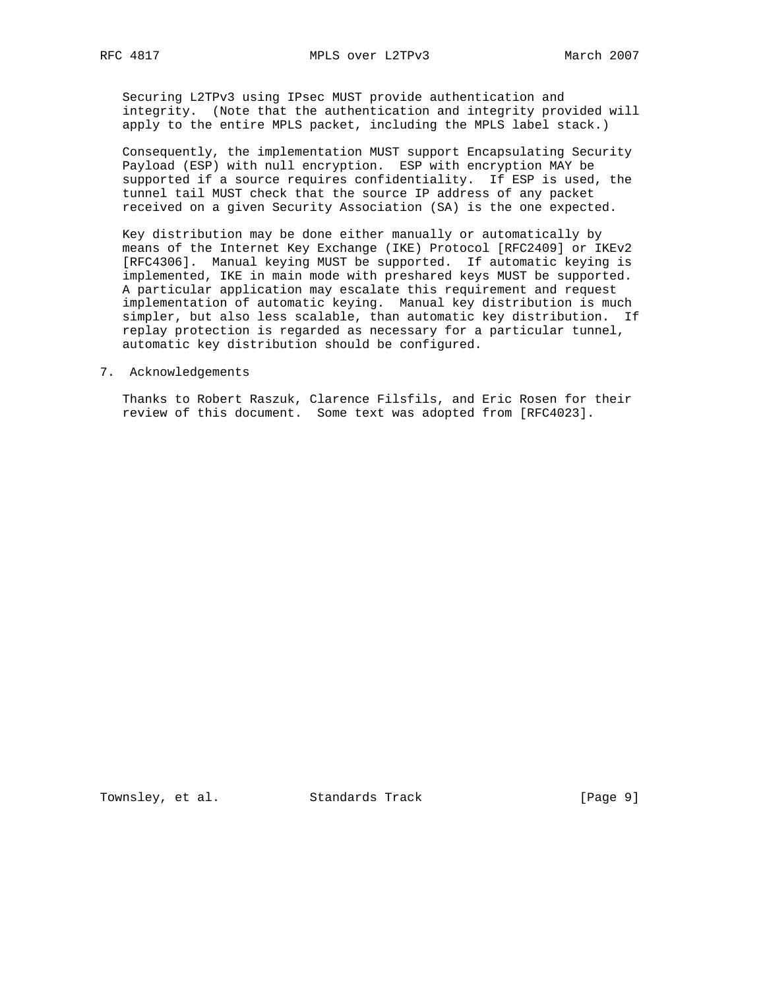Securing L2TPv3 using IPsec MUST provide authentication and integrity. (Note that the authentication and integrity provided will apply to the entire MPLS packet, including the MPLS label stack.)

 Consequently, the implementation MUST support Encapsulating Security Payload (ESP) with null encryption. ESP with encryption MAY be supported if a source requires confidentiality. If ESP is used, the tunnel tail MUST check that the source IP address of any packet received on a given Security Association (SA) is the one expected.

 Key distribution may be done either manually or automatically by means of the Internet Key Exchange (IKE) Protocol [RFC2409] or IKEv2 [RFC4306]. Manual keying MUST be supported. If automatic keying is implemented, IKE in main mode with preshared keys MUST be supported. A particular application may escalate this requirement and request implementation of automatic keying. Manual key distribution is much simpler, but also less scalable, than automatic key distribution. If replay protection is regarded as necessary for a particular tunnel, automatic key distribution should be configured.

## 7. Acknowledgements

 Thanks to Robert Raszuk, Clarence Filsfils, and Eric Rosen for their review of this document. Some text was adopted from [RFC4023].

Townsley, et al. Standards Track [Page 9]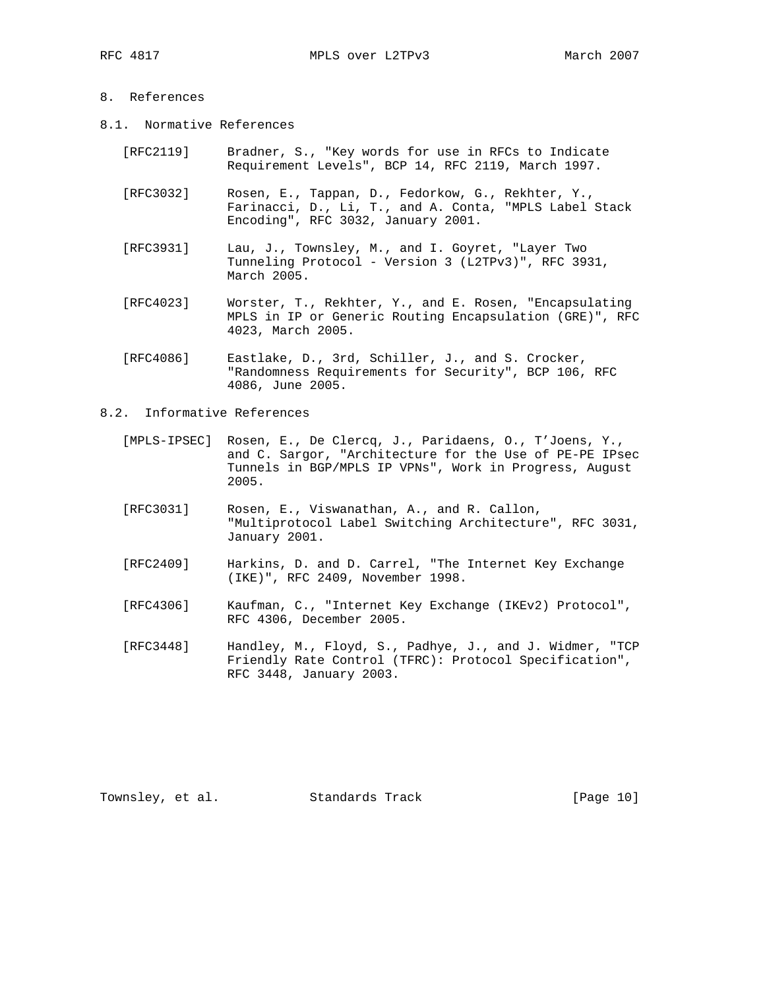# 8. References

- 8.1. Normative References
	- [RFC2119] Bradner, S., "Key words for use in RFCs to Indicate Requirement Levels", BCP 14, RFC 2119, March 1997.
	- [RFC3032] Rosen, E., Tappan, D., Fedorkow, G., Rekhter, Y., Farinacci, D., Li, T., and A. Conta, "MPLS Label Stack Encoding", RFC 3032, January 2001.
	- [RFC3931] Lau, J., Townsley, M., and I. Goyret, "Layer Two Tunneling Protocol - Version 3 (L2TPv3)", RFC 3931, March 2005.
	- [RFC4023] Worster, T., Rekhter, Y., and E. Rosen, "Encapsulating MPLS in IP or Generic Routing Encapsulation (GRE)", RFC 4023, March 2005.
	- [RFC4086] Eastlake, D., 3rd, Schiller, J., and S. Crocker, "Randomness Requirements for Security", BCP 106, RFC 4086, June 2005.
- 8.2. Informative References
	- [MPLS-IPSEC] Rosen, E., De Clercq, J., Paridaens, O., T'Joens, Y., and C. Sargor, "Architecture for the Use of PE-PE IPsec Tunnels in BGP/MPLS IP VPNs", Work in Progress, August 2005.
	- [RFC3031] Rosen, E., Viswanathan, A., and R. Callon, "Multiprotocol Label Switching Architecture", RFC 3031, January 2001.
	- [RFC2409] Harkins, D. and D. Carrel, "The Internet Key Exchange (IKE)", RFC 2409, November 1998.
	- [RFC4306] Kaufman, C., "Internet Key Exchange (IKEv2) Protocol", RFC 4306, December 2005.
	- [RFC3448] Handley, M., Floyd, S., Padhye, J., and J. Widmer, "TCP Friendly Rate Control (TFRC): Protocol Specification", RFC 3448, January 2003.

Townsley, et al. Standards Track [Page 10]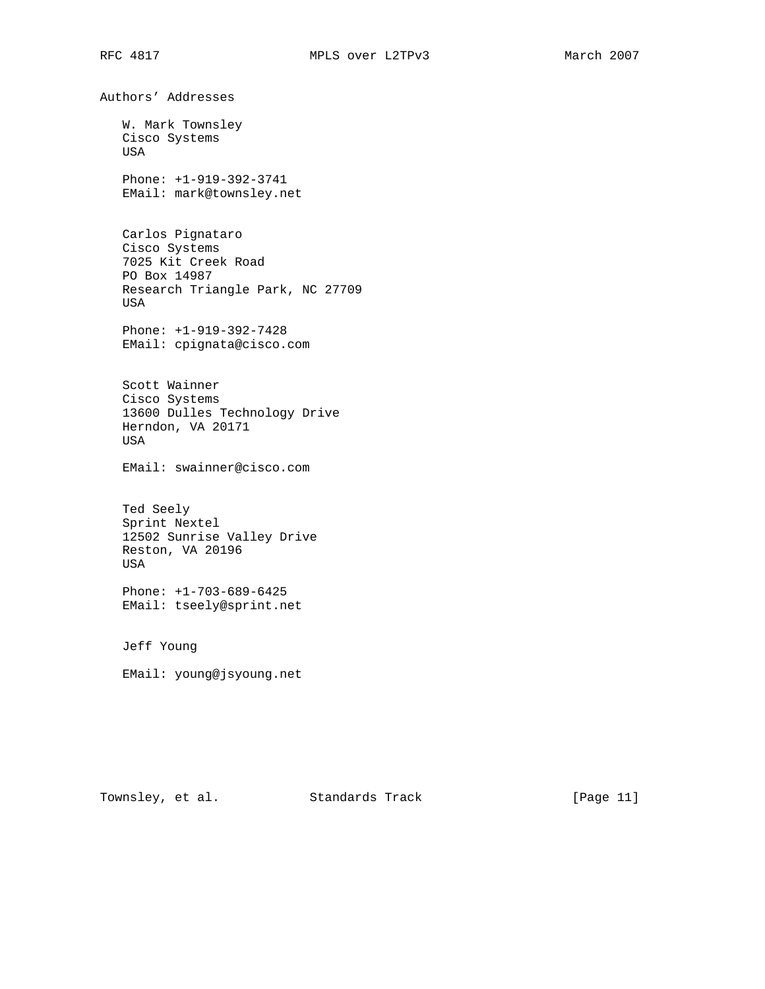Authors' Addresses W. Mark Townsley Cisco Systems USA Phone: +1-919-392-3741 EMail: mark@townsley.net Carlos Pignataro Cisco Systems 7025 Kit Creek Road PO Box 14987 Research Triangle Park, NC 27709 USA Phone: +1-919-392-7428 EMail: cpignata@cisco.com Scott Wainner Cisco Systems 13600 Dulles Technology Drive Herndon, VA 20171 USA EMail: swainner@cisco.com Ted Seely Sprint Nextel 12502 Sunrise Valley Drive Reston, VA 20196 USA Phone: +1-703-689-6425 EMail: tseely@sprint.net Jeff Young EMail: young@jsyoung.net

Townsley, et al. Standards Track [Page 11]